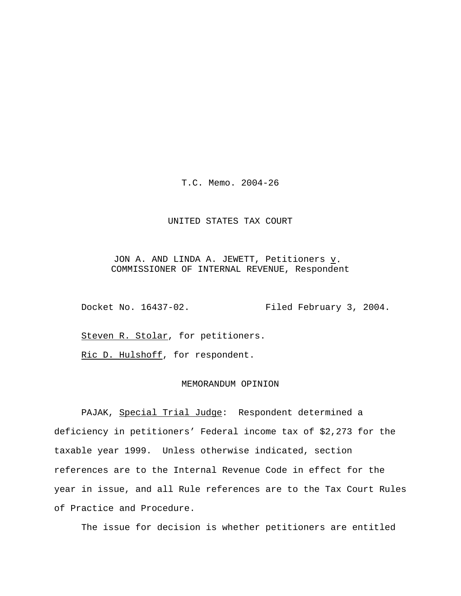T.C. Memo. 2004-26

## UNITED STATES TAX COURT

JON A. AND LINDA A. JEWETT, Petitioners  $\underline{v}$ . COMMISSIONER OF INTERNAL REVENUE, Respondent

Docket No. 16437-02. Filed February 3, 2004.

Steven R. Stolar, for petitioners.

Ric D. Hulshoff, for respondent.

## MEMORANDUM OPINION

PAJAK, Special Trial Judge: Respondent determined a deficiency in petitioners' Federal income tax of \$2,273 for the taxable year 1999. Unless otherwise indicated, section references are to the Internal Revenue Code in effect for the year in issue, and all Rule references are to the Tax Court Rules of Practice and Procedure.

The issue for decision is whether petitioners are entitled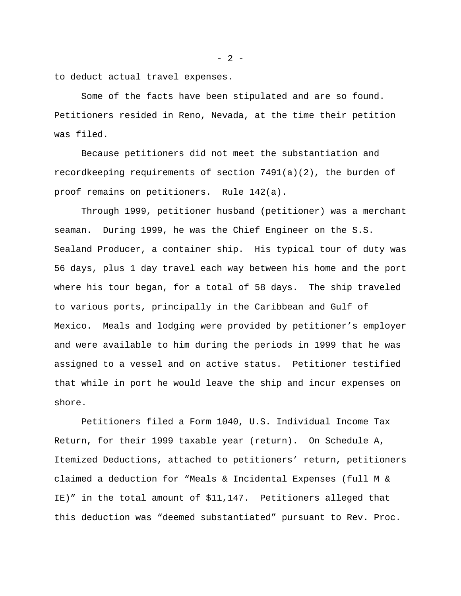to deduct actual travel expenses.

Some of the facts have been stipulated and are so found. Petitioners resided in Reno, Nevada, at the time their petition was filed.

Because petitioners did not meet the substantiation and recordkeeping requirements of section 7491(a)(2), the burden of proof remains on petitioners. Rule 142(a).

Through 1999, petitioner husband (petitioner) was a merchant seaman. During 1999, he was the Chief Engineer on the S.S. Sealand Producer, a container ship. His typical tour of duty was 56 days, plus 1 day travel each way between his home and the port where his tour began, for a total of 58 days. The ship traveled to various ports, principally in the Caribbean and Gulf of Mexico. Meals and lodging were provided by petitioner's employer and were available to him during the periods in 1999 that he was assigned to a vessel and on active status. Petitioner testified that while in port he would leave the ship and incur expenses on shore.

Petitioners filed a Form 1040, U.S. Individual Income Tax Return, for their 1999 taxable year (return). On Schedule A, Itemized Deductions, attached to petitioners' return, petitioners claimed a deduction for "Meals & Incidental Expenses (full M & IE)" in the total amount of \$11,147. Petitioners alleged that this deduction was "deemed substantiated" pursuant to Rev. Proc.

 $- 2 -$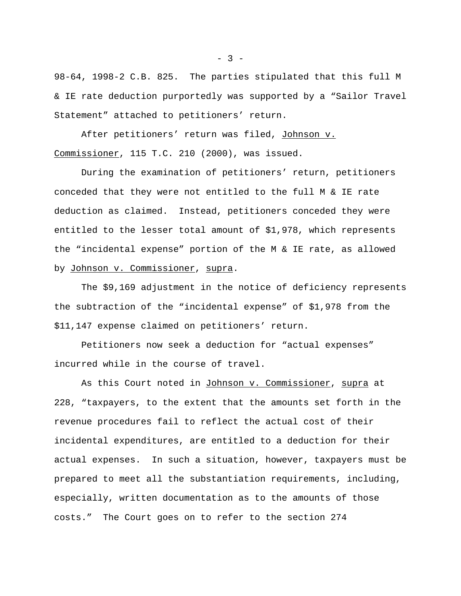98-64, 1998-2 C.B. 825. The parties stipulated that this full M & IE rate deduction purportedly was supported by a "Sailor Travel Statement" attached to petitioners' return.

After petitioners' return was filed, Johnson v. Commissioner, 115 T.C. 210 (2000), was issued.

During the examination of petitioners' return, petitioners conceded that they were not entitled to the full M & IE rate deduction as claimed. Instead, petitioners conceded they were entitled to the lesser total amount of \$1,978, which represents the "incidental expense" portion of the M & IE rate, as allowed by Johnson v. Commissioner, supra.

The \$9,169 adjustment in the notice of deficiency represents the subtraction of the "incidental expense" of \$1,978 from the \$11,147 expense claimed on petitioners' return.

Petitioners now seek a deduction for "actual expenses" incurred while in the course of travel.

As this Court noted in Johnson v. Commissioner, supra at 228, "taxpayers, to the extent that the amounts set forth in the revenue procedures fail to reflect the actual cost of their incidental expenditures, are entitled to a deduction for their actual expenses. In such a situation, however, taxpayers must be prepared to meet all the substantiation requirements, including, especially, written documentation as to the amounts of those costs." The Court goes on to refer to the section 274

 $-3 -$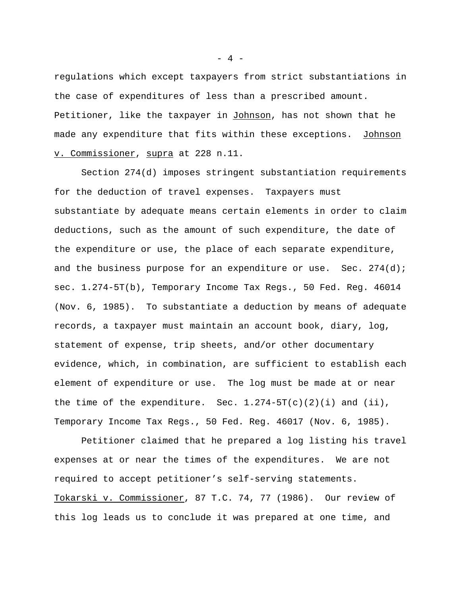regulations which except taxpayers from strict substantiations in the case of expenditures of less than a prescribed amount. Petitioner, like the taxpayer in Johnson, has not shown that he made any expenditure that fits within these exceptions. Johnson v. Commissioner, supra at 228 n.11.

Section 274(d) imposes stringent substantiation requirements for the deduction of travel expenses. Taxpayers must substantiate by adequate means certain elements in order to claim deductions, such as the amount of such expenditure, the date of the expenditure or use, the place of each separate expenditure, and the business purpose for an expenditure or use. Sec. 274(d); sec. 1.274-5T(b), Temporary Income Tax Regs., 50 Fed. Reg. 46014 (Nov. 6, 1985). To substantiate a deduction by means of adequate records, a taxpayer must maintain an account book, diary, log, statement of expense, trip sheets, and/or other documentary evidence, which, in combination, are sufficient to establish each element of expenditure or use. The log must be made at or near the time of the expenditure. Sec.  $1.274-5T(c)(2)(i)$  and  $(ii)$ , Temporary Income Tax Regs., 50 Fed. Reg. 46017 (Nov. 6, 1985).

Petitioner claimed that he prepared a log listing his travel expenses at or near the times of the expenditures. We are not required to accept petitioner's self-serving statements. Tokarski v. Commissioner, 87 T.C. 74, 77 (1986). Our review of this log leads us to conclude it was prepared at one time, and

 $- 4 -$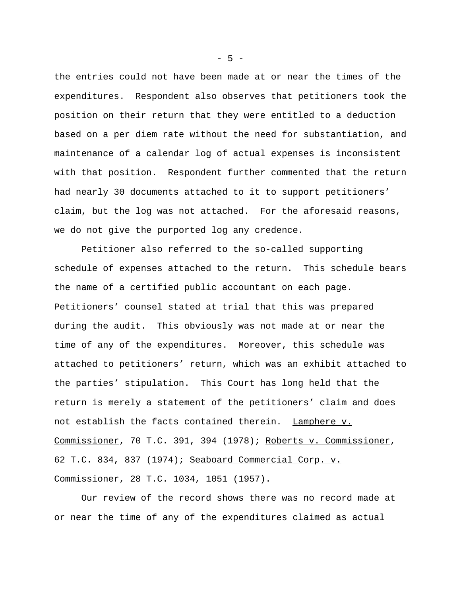the entries could not have been made at or near the times of the expenditures. Respondent also observes that petitioners took the position on their return that they were entitled to a deduction based on a per diem rate without the need for substantiation, and maintenance of a calendar log of actual expenses is inconsistent with that position. Respondent further commented that the return had nearly 30 documents attached to it to support petitioners' claim, but the log was not attached. For the aforesaid reasons, we do not give the purported log any credence.

Petitioner also referred to the so-called supporting schedule of expenses attached to the return. This schedule bears the name of a certified public accountant on each page. Petitioners' counsel stated at trial that this was prepared during the audit. This obviously was not made at or near the time of any of the expenditures. Moreover, this schedule was attached to petitioners' return, which was an exhibit attached to the parties' stipulation. This Court has long held that the return is merely a statement of the petitioners' claim and does not establish the facts contained therein. Lamphere v. Commissioner, 70 T.C. 391, 394 (1978); Roberts v. Commissioner, 62 T.C. 834, 837 (1974); Seaboard Commercial Corp. v. Commissioner, 28 T.C. 1034, 1051 (1957).

Our review of the record shows there was no record made at or near the time of any of the expenditures claimed as actual

 $-5 -$